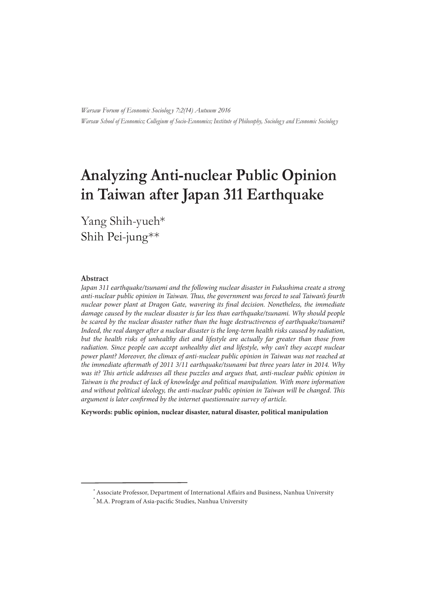*Warsaw Forum of Economic Sociolog y 7:2(14) Autuum 2016 Warsaw School of Economics; Collegium of Socio-Economics; Institute of Philosophy, Sociolog y and Economic Sociolog y*

# **Analyzing Anti-nuclear Public Opinion in Taiwan after Japan 311 Earthquake**

 Yang Shih-yueh\* Shih Pei-jung\*\*

#### **Abstract**

Japan 311 earthquake/tsunami and the following nuclear disaster in Fukushima create a strong anti-nuclear public opinion in Taiwan. Thus, the government was forced to seal Taiwan's fourth nuclear power plant at Dragon Gate, wavering its final decision. Nonetheless, the immediate damage caused by the nuclear disaster is far less than earthquake/tsunami. Why should people be scared by the nuclear disaster rather than the huge destructiveness of earthquake/tsunami? Indeed, the real danger after a nuclear disaster is the long-term health risks caused by radiation, but the health risks of unhealthy diet and lifestyle are actually far greater than those from radiation. Since people can accept unhealthy diet and lifestyle, why can't they accept nuclear power plant? Moreover, the climax of anti-nuclear public opinion in Taiwan was not reached at the immediate aftermath of 2011 3/11 earthquake/tsunami but three years later in 2014. Why was it? This article addresses all these puzzles and argues that, anti-nuclear public opinion in Taiwan is the product of lack of knowledge and political manipulation. With more information and without political ideology, the anti-nuclear public opinion in Taiwan will be changed. This argument is later confirmed by the internet questionnaire survey of article.

**Keywords: public opinion, nuclear disaster, natural disaster, political manipulation**

 $*$  Associate Professor, Department of International Affairs and Business, Nanhua University

 $*$  M.A. Program of Asia-pacific Studies, Nanhua University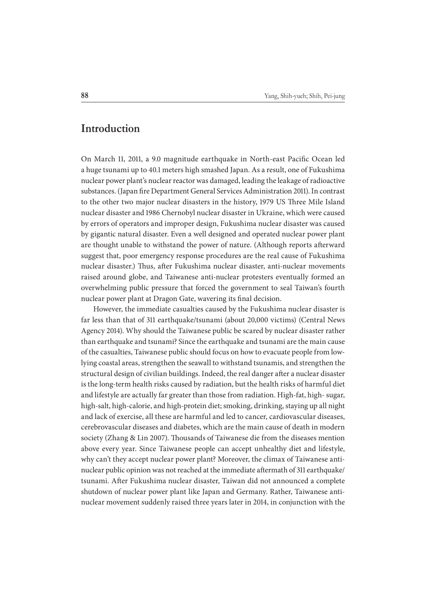## **Introduction**

On March 11, 2011, a 9.0 magnitude earthquake in North-east Pacific Ocean led a huge tsunami up to 40.1 meters high smashed Japan. As a result, one of Fukushima nuclear power plant's nuclear reactor was damaged, leading the leakage of radioactive substances. (Japan fire Department General Services Administration 2011). In contrast to the other two major nuclear disasters in the history, 1979 US Three Mile Island nuclear disaster and 1986 Chernobyl nuclear disaster in Ukraine, which were caused by errors of operators and improper design, Fukushima nuclear disaster was caused by gigantic natural disaster. Even a well designed and operated nuclear power plant are thought unable to withstand the power of nature. (Although reports afterward suggest that, poor emergency response procedures are the real cause of Fukushima nuclear disaster.) Thus, after Fukushima nuclear disaster, anti-nuclear movements raised around globe, and Taiwanese anti-nuclear protesters eventually formed an overwhelming public pressure that forced the government to seal Taiwan's fourth nuclear power plant at Dragon Gate, wavering its final decision.

However, the immediate casualties caused by the Fukushima nuclear disaster is far less than that of 311 earthquake/tsunami (about 20,000 victims) (Central News Agency 2014). Why should the Taiwanese public be scared by nuclear disaster rather than earthquake and tsunami? Since the earthquake and tsunami are the main cause of the casualties, Taiwanese public should focus on how to evacuate people from lowlying coastal areas, strengthen the seawall to withstand tsunamis, and strengthen the structural design of civilian buildings. Indeed, the real danger after a nuclear disaster is the long-term health risks caused by radiation, but the health risks of harmful diet and lifestyle are actually far greater than those from radiation. High-fat, high- sugar, high-salt, high-calorie, and high-protein diet; smoking, drinking, staying up all night and lack of exercise, all these are harmful and led to cancer, cardiovascular diseases, cerebrovascular diseases and diabetes, which are the main cause of death in modern society (Zhang & Lin 2007). Thousands of Taiwanese die from the diseases mention above every year. Since Taiwanese people can accept unhealthy diet and lifestyle, why can't they accept nuclear power plant? Moreover, the climax of Taiwanese antinuclear public opinion was not reached at the immediate aftermath of 311 earthquake/ tsunami. After Fukushima nuclear disaster, Taiwan did not announced a complete shutdown of nuclear power plant like Japan and Germany. Rather, Taiwanese antinuclear movement suddenly raised three years later in 2014, in conjunction with the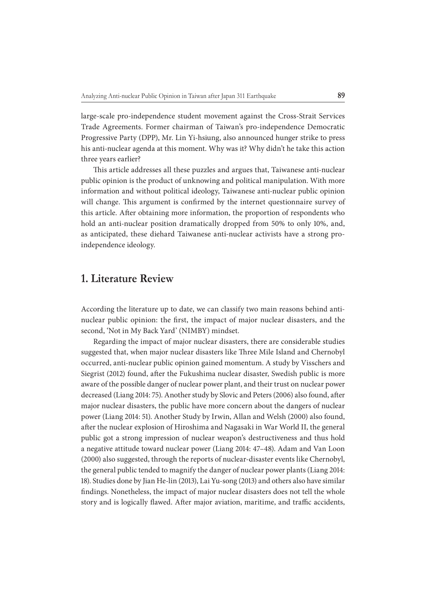large-scale pro-independence student movement against the Cross-Strait Services Trade Agreements. Former chairman of Taiwan's pro-independence Democratic Progressive Party (DPP), Mr. Lin Yi-hsiung, also announced hunger strike to press his anti-nuclear agenda at this moment. Why was it? Why didn't he take this action three years earlier?

This article addresses all these puzzles and argues that, Taiwanese anti-nuclear public opinion is the product of unknowing and political manipulation. With more information and without political ideology, Taiwanese anti-nuclear public opinion will change. This argument is confirmed by the internet questionnaire survey of this article. After obtaining more information, the proportion of respondents who hold an anti-nuclear position dramatically dropped from 50% to only 10%, and, as anticipated, these diehard Taiwanese anti-nuclear activists have a strong proindependence ideology.

## **1. Literature Review**

According the literature up to date, we can classify two main reasons behind antinuclear public opinion: the first, the impact of major nuclear disasters, and the second, 'Not in My Back Yard' (NIMBY) mindset.

Regarding the impact of major nuclear disasters, there are considerable studies suggested that, when major nuclear disasters like Three Mile Island and Chernobyl occurred, anti-nuclear public opinion gained momentum. A study by Visschers and Siegrist (2012) found, after the Fukushima nuclear disaster, Swedish public is more aware of the possible danger of nuclear power plant, and their trust on nuclear power decreased (Liang 2014: 75). Another study by Slovic and Peters (2006) also found, after major nuclear disasters, the public have more concern about the dangers of nuclear power (Liang 2014: 51). Another Study by Irwin, Allan and Welsh (2000) also found, after the nuclear explosion of Hiroshima and Nagasaki in War World II, the general public got a strong impression of nuclear weapon's destructiveness and thus hold a negative attitude toward nuclear power (Liang 2014: 47–48). Adam and Van Loon (2000) also suggested, through the reports of nuclear-disaster events like Chernobyl, the general public tended to magnify the danger of nuclear power plants (Liang 2014: 18). Studies done by Jian He-lin (2013), Lai Yu-song (2013) and others also have similar findings. Nonetheless, the impact of major nuclear disasters does not tell the whole story and is logically flawed. After major aviation, maritime, and traffic accidents,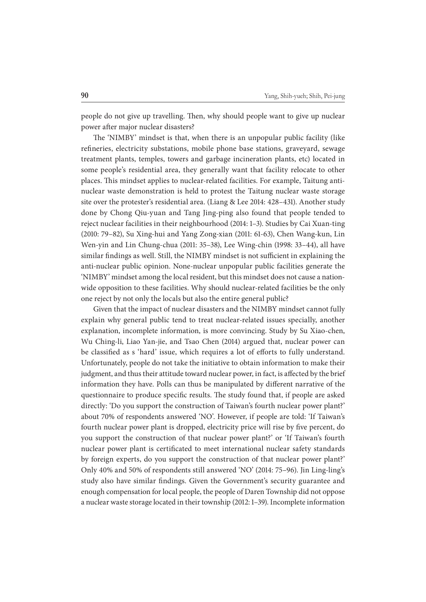people do not give up travelling. Then, why should people want to give up nuclear power after major nuclear disasters?

The 'NIMBY' mindset is that, when there is an unpopular public facility (like refineries, electricity substations, mobile phone base stations, graveyard, sewage treatment plants, temples, towers and garbage incineration plants, etc) located in some people's residential area, they generally want that facility relocate to other places. This mindset applies to nuclear-related facilities. For example, Taitung antinuclear waste demonstration is held to protest the Taitung nuclear waste storage site over the protester's residential area. (Liang & Lee 2014: 428–431). Another study done by Chong Qiu-yuan and Tang Jing-ping also found that people tended to reject nuclear facilities in their neighbourhood (2014: 1–3). Studies by Cai Xuan-ting (2010: 79–82), Su Xing-hui and Yang Zong-xian (2011: 61-63), Chen Wang-kun, Lin Wen-yin and Lin Chung-chua (2011: 35–38), Lee Wing-chin (1998: 33–44), all have similar findings as well. Still, the NIMBY mindset is not sufficient in explaining the anti-nuclear public opinion. None-nuclear unpopular public facilities generate the 'NIMBY' mindset among the local resident, but this mindset does not cause a nationwide opposition to these facilities. Why should nuclear-related facilities be the only one reject by not only the locals but also the entire general public?

Given that the impact of nuclear disasters and the NIMBY mindset cannot fully explain why general public tend to treat nuclear-related issues specially, another explanation, incomplete information, is more convincing. Study by Su Xiao-chen, Wu Ching-li, Liao Yan-jie, and Tsao Chen (2014) argued that, nuclear power can be classified as s 'hard' issue, which requires a lot of efforts to fully understand. Unfortunately, people do not take the initiative to obtain information to make their judgment, and thus their attitude toward nuclear power, in fact, is affected by the brief information they have. Polls can thus be manipulated by different narrative of the questionnaire to produce specific results. The study found that, if people are asked directly: 'Do you support the construction of Taiwan's fourth nuclear power plant?' about 70% of respondents answered 'NO'. However, if people are told: 'If Taiwan's fourth nuclear power plant is dropped, electricity price will rise by five percent, do you support the construction of that nuclear power plant?' or 'If Taiwan's fourth nuclear power plant is certificated to meet international nuclear safety standards by foreign experts, do you support the construction of that nuclear power plant?' Only 40% and 50% of respondents still answered 'NO' (2014: 75–96). Jin Ling-ling's study also have similar findings. Given the Government's security guarantee and enough compensation for local people, the people of Daren Township did not oppose a nuclear waste storage located in their township (2012: 1–39). Incomplete information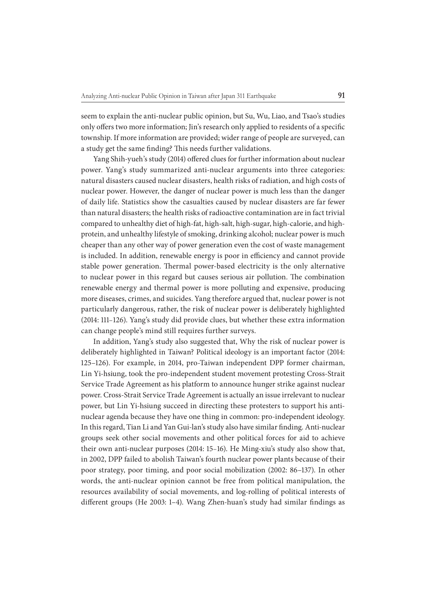seem to explain the anti-nuclear public opinion, but Su, Wu, Liao, and Tsao's studies only offers two more information; Jin's research only applied to residents of a specific township. If more information are provided; wider range of people are surveyed, can a study get the same finding? This needs further validations.

Yang Shih-yueh's study (2014) offered clues for further information about nuclear power. Yang's study summarized anti-nuclear arguments into three categories: natural disasters caused nuclear disasters, health risks of radiation, and high costs of nuclear power. However, the danger of nuclear power is much less than the danger of daily life. Statistics show the casualties caused by nuclear disasters are far fewer than natural disasters; the health risks of radioactive contamination are in fact trivial compared to unhealthy diet of high-fat, high-salt, high-sugar, high-calorie, and highprotein, and unhealthy lifestyle of smoking, drinking alcohol; nuclear power is much cheaper than any other way of power generation even the cost of waste management is included. In addition, renewable energy is poor in efficiency and cannot provide stable power generation. Thermal power-based electricity is the only alternative to nuclear power in this regard but causes serious air pollution. The combination renewable energy and thermal power is more polluting and expensive, producing more diseases, crimes, and suicides. Yang therefore argued that, nuclear power is not particularly dangerous, rather, the risk of nuclear power is deliberately highlighted (2014: 111–126). Yang's study did provide clues, but whether these extra information can change people's mind still requires further surveys.

In addition, Yang's study also suggested that, Why the risk of nuclear power is deliberately highlighted in Taiwan? Political ideology is an important factor (2014: 125–126). For example, in 2014, pro-Taiwan independent DPP former chairman, Lin Yi-hsiung, took the pro-independent student movement protesting Cross-Strait Service Trade Agreement as his platform to announce hunger strike against nuclear power. Cross-Strait Service Trade Agreement is actually an issue irrelevant to nuclear power, but Lin Yi-hsiung succeed in directing these protesters to support his antinuclear agenda because they have one thing in common: pro-independent ideology. In this regard, Tian Li and Yan Gui-lan's study also have similar finding. Anti-nuclear groups seek other social movements and other political forces for aid to achieve their own anti-nuclear purposes (2014: 15–16). He Ming-xiu's study also show that, in 2002, DPP failed to abolish Taiwan's fourth nuclear power plants because of their poor strategy, poor timing, and poor social mobilization (2002: 86–137). In other words, the anti-nuclear opinion cannot be free from political manipulation, the resources availability of social movements, and log-rolling of political interests of different groups (He 2003: 1–4). Wang Zhen-huan's study had similar findings as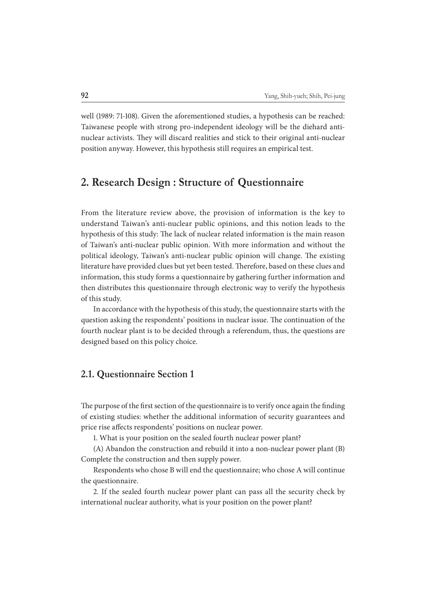well (1989: 71-108). Given the aforementioned studies, a hypothesis can be reached: Taiwanese people with strong pro-independent ideology will be the diehard antinuclear activists. They will discard realities and stick to their original anti-nuclear position anyway. However, this hypothesis still requires an empirical test.

## **2. Research Design : Structure of Questionnaire**

From the literature review above, the provision of information is the key to understand Taiwan's anti-nuclear public opinions, and this notion leads to the hypothesis of this study: The lack of nuclear related information is the main reason of Taiwan's anti-nuclear public opinion. With more information and without the political ideology, Taiwan's anti-nuclear public opinion will change. The existing literature have provided clues but yet been tested. Therefore, based on these clues and information, this study forms a questionnaire by gathering further information and then distributes this questionnaire through electronic way to verify the hypothesis of this study.

In accordance with the hypothesis of this study, the questionnaire starts with the question asking the respondents' positions in nuclear issue. The continuation of the fourth nuclear plant is to be decided through a referendum, thus, the questions are designed based on this policy choice.

#### **2.1. Questionnaire Section 1**

The purpose of the first section of the questionnaire is to verify once again the finding of existing studies: whether the additional information of security guarantees and price rise affects respondents' positions on nuclear power.

1. What is your position on the sealed fourth nuclear power plant?

(A) Abandon the construction and rebuild it into a non-nuclear power plant (B) Complete the construction and then supply power.

Respondents who chose B will end the questionnaire; who chose A will continue the questionnaire.

2. If the sealed fourth nuclear power plant can pass all the security check by international nuclear authority, what is your position on the power plant?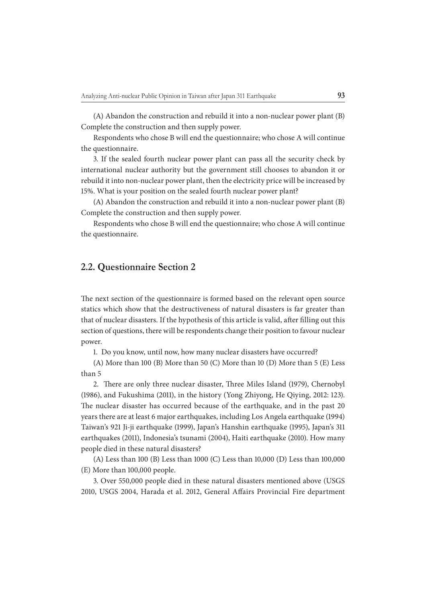(A) Abandon the construction and rebuild it into a non-nuclear power plant (B) Complete the construction and then supply power.

Respondents who chose B will end the questionnaire; who chose A will continue the questionnaire.

3. If the sealed fourth nuclear power plant can pass all the security check by international nuclear authority but the government still chooses to abandon it or rebuild it into non-nuclear power plant, then the electricity price will be increased by 15%. What is your position on the sealed fourth nuclear power plant?

(A) Abandon the construction and rebuild it into a non-nuclear power plant (B) Complete the construction and then supply power.

Respondents who chose B will end the questionnaire; who chose A will continue the questionnaire.

#### **2.2. Questionnaire Section 2**

The next section of the questionnaire is formed based on the relevant open source statics which show that the destructiveness of natural disasters is far greater than that of nuclear disasters. If the hypothesis of this article is valid, after filling out this section of questions, there will be respondents change their position to favour nuclear power.

1. Do you know, until now, how many nuclear disasters have occurred?

(A) More than 100 (B) More than 50 (C) More than 10 (D) More than 5 (E) Less than 5

2. There are only three nuclear disaster, Three Miles Island (1979), Chernobyl (1986), and Fukushima (2011), in the history (Yong Zhiyong, He Qiying, 2012: 123). The nuclear disaster has occurred because of the earthquake, and in the past 20 years there are at least 6 major earthquakes, including Los Angela earthquake (1994) Taiwan's 921 Ji-ji earthquake (1999), Japan's Hanshin earthquake (1995), Japan's 311 earthquakes (2011), Indonesia's tsunami (2004), Haiti earthquake (2010). How many people died in these natural disasters?

(A) Less than 100 (B) Less than 1000 (C) Less than 10,000 (D) Less than 100,000 (E) More than 100,000 people.

3. Over 550,000 people died in these natural disasters mentioned above (USGS 2010, USGS 2004, Harada et al. 2012, General Affairs Provincial Fire department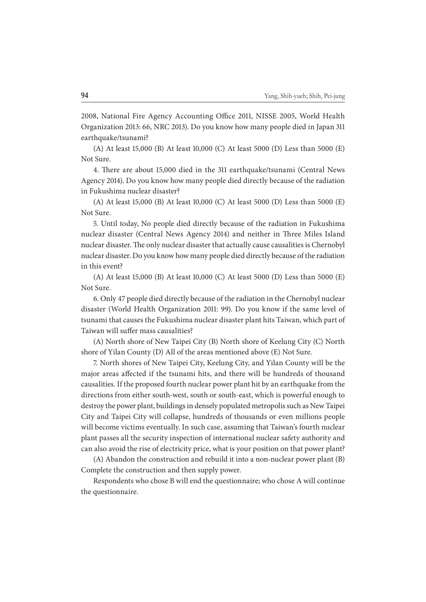2008, National Fire Agency Accounting Office 2011, NISSE 2005, World Health Organization 2013: 66, NRC 2013). Do you know how many people died in Japan 311 earthquake/tsunami?

(A) At least 15,000 (B) At least 10,000 (C) At least 5000 (D) Less than 5000 (E) Not Sure.

4. There are about 15,000 died in the 311 earthquake/tsunami (Central News) Agency 2014). Do you know how many people died directly because of the radiation in Fukushima nuclear disaster?

(A) At least 15,000 (B) At least 10,000 (C) At least 5000 (D) Less than 5000 (E) Not Sure.

5. Until today, No people died directly because of the radiation in Fukushima nuclear disaster (Central News Agency 2014) and neither in Three Miles Island nuclear disaster. The only nuclear disaster that actually cause causalities is Chernobyl nuclear disaster. Do you know how many people died directly because of the radiation in this event?

(A) At least 15,000 (B) At least 10,000 (C) At least 5000 (D) Less than 5000 (E) Not Sure.

6. Only 47 people died directly because of the radiation in the Chernobyl nuclear disaster (World Health Organization 2011: 99). Do you know if the same level of tsunami that causes the Fukushima nuclear disaster plant hits Taiwan, which part of Taiwan will suffer mass causalities?

(A) North shore of New Taipei City (B) North shore of Keelung City (C) North shore of Yilan County (D) All of the areas mentioned above (E) Not Sure.

7. North shores of New Taipei City, Keelung City, and Yilan County will be the major areas affected if the tsunami hits, and there will be hundreds of thousand causalities. If the proposed fourth nuclear power plant hit by an earthquake from the directions from either south-west, south or south-east, which is powerful enough to destroy the power plant, buildings in densely populated metropolis such as New Taipei City and Taipei City will collapse, hundreds of thousands or even millions people will become victims eventually. In such case, assuming that Taiwan's fourth nuclear plant passes all the security inspection of international nuclear safety authority and can also avoid the rise of electricity price, what is your position on that power plant?

(A) Abandon the construction and rebuild it into a non-nuclear power plant (B) Complete the construction and then supply power.

Respondents who chose B will end the questionnaire; who chose A will continue the questionnaire.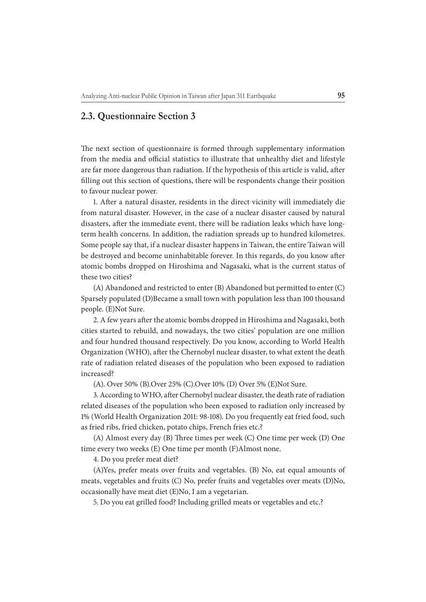## **2.3. Questionnaire Section 3**

The next section of questionnaire is formed through supplementary information from the media and official statistics to illustrate that unhealthy diet and lifestyle are far more dangerous than radiation. If the hypothesis of this article is valid, after filling out this section of questions, there will be respondents change their position to favour nuclear power.

1. After a natural disaster, residents in the direct vicinity will immediately die from natural disaster. However, in the case of a nuclear disaster caused by natural disasters, after the immediate event, there will be radiation leaks which have longterm health concerns. In addition, the radiation spreads up to hundred kilometres. Some people say that, if a nuclear disaster happens in Taiwan, the entire Taiwan will be destroyed and become uninhabitable forever. In this regards, do you know after atomic bombs dropped on Hiroshima and Nagasaki, what is the current status of these two cities?

(A) Abandoned and restricted to enter (B) Abandoned but permitted to enter (C) Sparsely populated (D)Became a small town with population less than 100 thousand people. (E)Not Sure.

2. A few years after the atomic bombs dropped in Hiroshima and Nagasaki, both cities started to rebuild, and nowadays, the two cities' population are one million and four hundred thousand respectively. Do you know, according to World Health Organization (WHO), after the Chernobyl nuclear disaster, to what extent the death rate of radiation related diseases of the population who been exposed to radiation increased?

(A). Over 50% (B).Over 25% (C).Over 10% (D) Over 5% (E)Not Sure.

3. According to WHO, after Chernobyl nuclear disaster, the death rate of radiation related diseases of the population who been exposed to radiation only increased by 1% (World Health Organization 2011: 98-108). Do you frequently eat fried food, such as fried ribs, fried chicken, potato chips, French fries etc.?

(A) Almost every day (B) Three times per week (C) One time per week (D) One time every two weeks (E) One time per month (F)Almost none.

4. Do you prefer meat diet?

(A)Yes, prefer meats over fruits and vegetables. (B) No, eat equal amounts of meats, vegetables and fruits (C) No, prefer fruits and vegetables over meats (D)No, occasionally have meat diet (E)No, I am a vegetarian.

5. Do you eat grilled food? Including grilled meats or vegetables and etc.?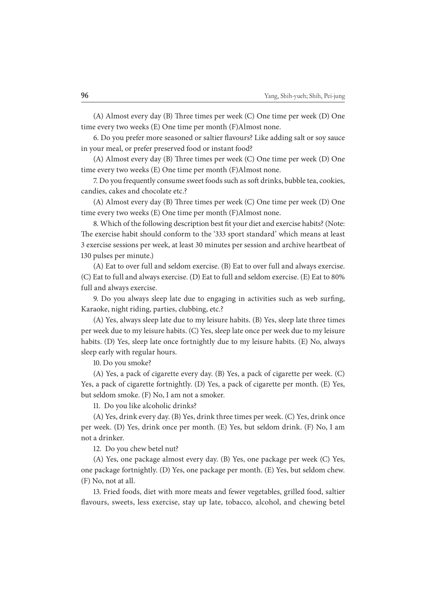(A) Almost every day (B) Three times per week (C) One time per week (D) One time every two weeks (E) One time per month (F)Almost none.

6. Do you prefer more seasoned or saltier flavours? Like adding salt or soy sauce in your meal, or prefer preserved food or instant food?

(A) Almost every day (B) Three times per week (C) One time per week (D) One time every two weeks (E) One time per month (F)Almost none.

7. Do you frequently consume sweet foods such as soft drinks, bubble tea, cookies, candies, cakes and chocolate etc.?

(A) Almost every day (B) Three times per week (C) One time per week (D) One time every two weeks (E) One time per month (F)Almost none.

8. Which of the following description best fit your diet and exercise habits? (Note: The exercise habit should conform to the '333 sport standard' which means at least 3 exercise sessions per week, at least 30 minutes per session and archive heartbeat of 130 pulses per minute.)

(A) Eat to over full and seldom exercise. (B) Eat to over full and always exercise. (C) Eat to full and always exercise. (D) Eat to full and seldom exercise. (E) Eat to 80% full and always exercise.

9. Do you always sleep late due to engaging in activities such as web surfing, Karaoke, night riding, parties, clubbing, etc.?

(A) Yes, always sleep late due to my leisure habits. (B) Yes, sleep late three times per week due to my leisure habits. (C) Yes, sleep late once per week due to my leisure habits. (D) Yes, sleep late once fortnightly due to my leisure habits. (E) No, always sleep early with regular hours.

10. Do you smoke?

(A) Yes, a pack of cigarette every day. (B) Yes, a pack of cigarette per week. (C) Yes, a pack of cigarette fortnightly. (D) Yes, a pack of cigarette per month. (E) Yes, but seldom smoke. (F) No, I am not a smoker.

11. Do you like alcoholic drinks?

(A) Yes, drink every day. (B) Yes, drink three times per week. (C) Yes, drink once per week. (D) Yes, drink once per month. (E) Yes, but seldom drink. (F) No, I am not a drinker.

12. Do you chew betel nut?

(A) Yes, one package almost every day. (B) Yes, one package per week (C) Yes, one package fortnightly. (D) Yes, one package per month. (E) Yes, but seldom chew. (F) No, not at all.

13. Fried foods, diet with more meats and fewer vegetables, grilled food, saltier flavours, sweets, less exercise, stay up late, tobacco, alcohol, and chewing betel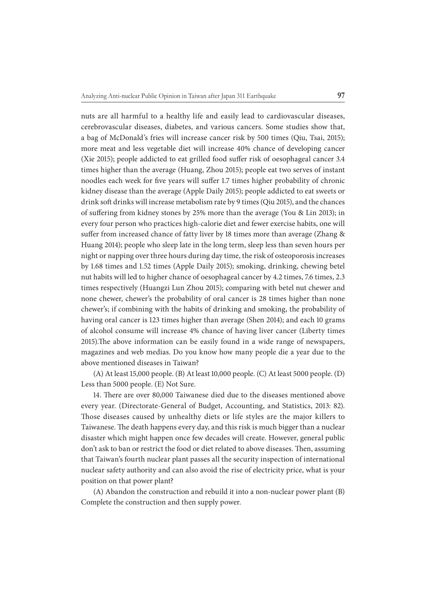nuts are all harmful to a healthy life and easily lead to cardiovascular diseases, cerebrovascular diseases, diabetes, and various cancers. Some studies show that, a bag of McDonald's fries will increase cancer risk by 500 times (Qiu, Tsai, 2015); more meat and less vegetable diet will increase 40% chance of developing cancer (Xie 2015); people addicted to eat grilled food suffer risk of oesophageal cancer 3.4 times higher than the average (Huang, Zhou 2015); people eat two serves of instant noodles each week for five years will suffer 1.7 times higher probability of chronic kidney disease than the average (Apple Daily 2015); people addicted to eat sweets or drink soft drinks will increase metabolism rate by 9 times (Qiu 2015), and the chances of suffering from kidney stones by 25% more than the average (You & Lin 2013); in every four person who practices high-calorie diet and fewer exercise habits, one will suffer from increased chance of fatty liver by 18 times more than average (Zhang & Huang 2014); people who sleep late in the long term, sleep less than seven hours per night or napping over three hours during day time, the risk of osteoporosis increases by 1.68 times and 1.52 times (Apple Daily 2015); smoking, drinking, chewing betel nut habits will led to higher chance of oesophageal cancer by 4.2 times, 7.6 times, 2.3 times respectively (Huangzi Lun Zhou 2015); comparing with betel nut chewer and none chewer, chewer's the probability of oral cancer is 28 times higher than none chewer's; if combining with the habits of drinking and smoking, the probability of having oral cancer is 123 times higher than average (Shen 2014); and each 10 grams of alcohol consume will increase 4% chance of having liver cancer (Liberty times 2015). The above information can be easily found in a wide range of newspapers, magazines and web medias. Do you know how many people die a year due to the above mentioned diseases in Taiwan?

(A) At least 15,000 people. (B) At least 10,000 people. (C) At least 5000 people. (D) Less than 5000 people. (E) Not Sure.

14. There are over 80,000 Taiwanese died due to the diseases mentioned above every year. (Directorate-General of Budget, Accounting, and Statistics, 2013: 82). Those diseases caused by unhealthy diets or life styles are the major killers to Taiwanese. The death happens every day, and this risk is much bigger than a nuclear disaster which might happen once few decades will create. However, general public don't ask to ban or restrict the food or diet related to above diseases. Then, assuming that Taiwan's fourth nuclear plant passes all the security inspection of international nuclear safety authority and can also avoid the rise of electricity price, what is your position on that power plant?

(A) Abandon the construction and rebuild it into a non-nuclear power plant (B) Complete the construction and then supply power.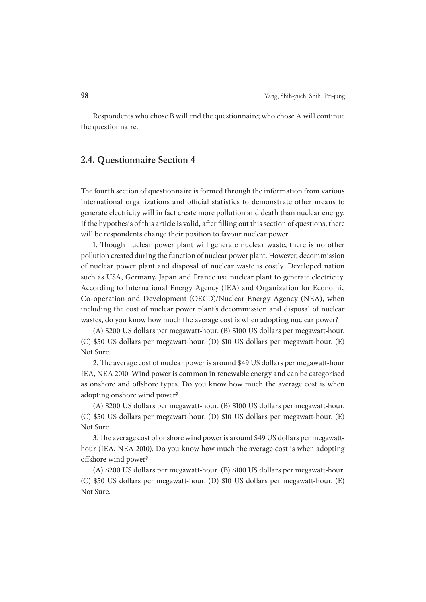Respondents who chose B will end the questionnaire; who chose A will continue the questionnaire.

#### **2.4. Questionnaire Section 4**

The fourth section of questionnaire is formed through the information from various international organizations and official statistics to demonstrate other means to generate electricity will in fact create more pollution and death than nuclear energy. If the hypothesis of this article is valid, after filling out this section of questions, there will be respondents change their position to favour nuclear power.

1. Though nuclear power plant will generate nuclear waste, there is no other pollution created during the function of nuclear power plant. However, decommission of nuclear power plant and disposal of nuclear waste is costly. Developed nation such as USA, Germany, Japan and France use nuclear plant to generate electricity. According to International Energy Agency (IEA) and Organization for Economic Co-operation and Development (OECD)/Nuclear Energy Agency (NEA), when including the cost of nuclear power plant's decommission and disposal of nuclear wastes, do you know how much the average cost is when adopting nuclear power?

(A) \$200 US dollars per megawatt-hour. (B) \$100 US dollars per megawatt-hour. (C) \$50 US dollars per megawatt-hour. (D) \$10 US dollars per megawatt-hour. (E) Not Sure.

2. The average cost of nuclear power is around \$49 US dollars per megawatt-hour IEA, NEA 2010. Wind power is common in renewable energy and can be categorised as onshore and offshore types. Do you know how much the average cost is when adopting onshore wind power?

(A) \$200 US dollars per megawatt-hour. (B) \$100 US dollars per megawatt-hour. (C) \$50 US dollars per megawatt-hour. (D) \$10 US dollars per megawatt-hour. (E) Not Sure.

3. The average cost of onshore wind power is around \$49 US dollars per megawatthour (IEA, NEA 2010). Do you know how much the average cost is when adopting offshore wind power?

(A) \$200 US dollars per megawatt-hour. (B) \$100 US dollars per megawatt-hour. (C) \$50 US dollars per megawatt-hour. (D) \$10 US dollars per megawatt-hour. (E) Not Sure.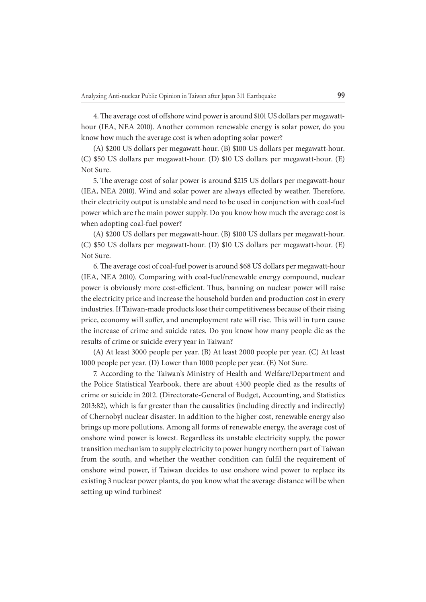4. The average cost of offshore wind power is around \$101 US dollars per megawatthour (IEA, NEA 2010). Another common renewable energy is solar power, do you know how much the average cost is when adopting solar power?

(A) \$200 US dollars per megawatt-hour. (B) \$100 US dollars per megawatt-hour. (C) \$50 US dollars per megawatt-hour. (D) \$10 US dollars per megawatt-hour. (E) Not Sure.

5. The average cost of solar power is around \$215 US dollars per megawatt-hour (IEA, NEA 2010). Wind and solar power are always effected by weather. Therefore, their electricity output is unstable and need to be used in conjunction with coal-fuel power which are the main power supply. Do you know how much the average cost is when adopting coal-fuel power?

(A) \$200 US dollars per megawatt-hour. (B) \$100 US dollars per megawatt-hour. (C) \$50 US dollars per megawatt-hour. (D) \$10 US dollars per megawatt-hour. (E) Not Sure.

6. The average cost of coal-fuel power is around \$68 US dollars per megawatt-hour (IEA, NEA 2010). Comparing with coal-fuel/renewable energy compound, nuclear power is obviously more cost-efficient. Thus, banning on nuclear power will raise the electricity price and increase the household burden and production cost in every industries. If Taiwan-made products lose their competitiveness because of their rising price, economy will suffer, and unemployment rate will rise. This will in turn cause the increase of crime and suicide rates. Do you know how many people die as the results of crime or suicide every year in Taiwan?

(A) At least 3000 people per year. (B) At least 2000 people per year. (C) At least 1000 people per year. (D) Lower than 1000 people per year. (E) Not Sure.

7. According to the Taiwan's Ministry of Health and Welfare/Department and the Police Statistical Yearbook, there are about 4300 people died as the results of crime or suicide in 2012. (Directorate-General of Budget, Accounting, and Statistics 2013:82), which is far greater than the causalities (including directly and indirectly) of Chernobyl nuclear disaster. In addition to the higher cost, renewable energy also brings up more pollutions. Among all forms of renewable energy, the average cost of onshore wind power is lowest. Regardless its unstable electricity supply, the power transition mechanism to supply electricity to power hungry northern part of Taiwan from the south, and whether the weather condition can fulfil the requirement of onshore wind power, if Taiwan decides to use onshore wind power to replace its existing 3 nuclear power plants, do you know what the average distance will be when setting up wind turbines?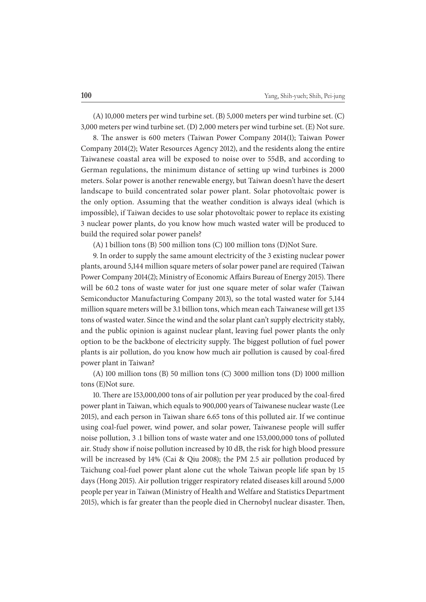(A) 10,000 meters per wind turbine set. (B) 5,000 meters per wind turbine set. (C) 3,000 meters per wind turbine set. (D) 2,000 meters per wind turbine set. (E) Not sure.

8. The answer is 600 meters (Taiwan Power Company 2014(1); Taiwan Power Company 2014(2); Water Resources Agency 2012), and the residents along the entire Taiwanese coastal area will be exposed to noise over to 55dB, and according to German regulations, the minimum distance of setting up wind turbines is 2000 meters. Solar power is another renewable energy, but Taiwan doesn't have the desert landscape to build concentrated solar power plant. Solar photovoltaic power is the only option. Assuming that the weather condition is always ideal (which is impossible), if Taiwan decides to use solar photovoltaic power to replace its existing 3 nuclear power plants, do you know how much wasted water will be produced to build the required solar power panels?

(A) 1 billion tons (B) 500 million tons (C) 100 million tons (D)Not Sure.

9. In order to supply the same amount electricity of the 3 existing nuclear power plants, around 5,144 million square meters of solar power panel are required (Taiwan Power Company 2014(2); Ministry of Economic Affairs Bureau of Energy 2015). There will be 60.2 tons of waste water for just one square meter of solar wafer (Taiwan Semiconductor Manufacturing Company 2013), so the total wasted water for 5,144 million square meters will be 3.1 billion tons, which mean each Taiwanese will get 135 tons of wasted water. Since the wind and the solar plant can't supply electricity stably, and the public opinion is against nuclear plant, leaving fuel power plants the only option to be the backbone of electricity supply. The biggest pollution of fuel power plants is air pollution, do you know how much air pollution is caused by coal-fired power plant in Taiwan?

(A) 100 million tons (B) 50 million tons (C) 3000 million tons (D) 1000 million tons (E)Not sure.

10. There are 153,000,000 tons of air pollution per year produced by the coal-fired power plant in Taiwan, which equals to 900,000 years of Taiwanese nuclear waste (Lee 2015), and each person in Taiwan share 6.65 tons of this polluted air. If we continue using coal-fuel power, wind power, and solar power, Taiwanese people will suffer noise pollution, 3 .1 billion tons of waste water and one 153,000,000 tons of polluted air. Study show if noise pollution increased by 10 dB, the risk for high blood pressure will be increased by 14% (Cai & Qiu 2008); the PM 2.5 air pollution produced by Taichung coal-fuel power plant alone cut the whole Taiwan people life span by 15 days (Hong 2015). Air pollution trigger respiratory related diseases kill around 5,000 people per year in Taiwan (Ministry of Health and Welfare and Statistics Department 2015), which is far greater than the people died in Chernobyl nuclear disaster. Then,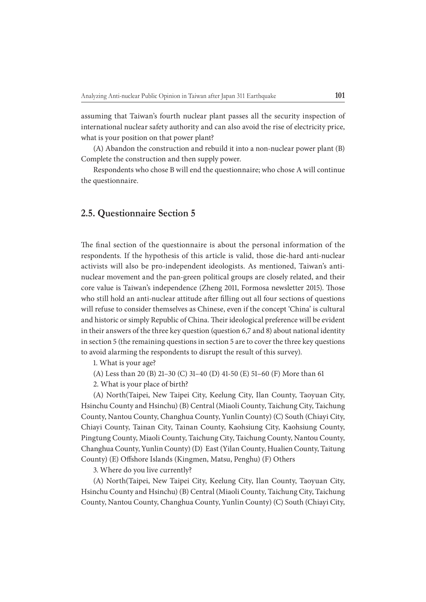assuming that Taiwan's fourth nuclear plant passes all the security inspection of international nuclear safety authority and can also avoid the rise of electricity price, what is your position on that power plant?

(A) Abandon the construction and rebuild it into a non-nuclear power plant (B) Complete the construction and then supply power.

Respondents who chose B will end the questionnaire; who chose A will continue the questionnaire.

#### **2.5. Questionnaire Section 5**

The final section of the questionnaire is about the personal information of the respondents. If the hypothesis of this article is valid, those die-hard anti-nuclear activists will also be pro-independent ideologists. As mentioned, Taiwan's antinuclear movement and the pan-green political groups are closely related, and their core value is Taiwan's independence (Zheng 2011, Formosa newsletter 2015). Those who still hold an anti-nuclear attitude after filling out all four sections of questions will refuse to consider themselves as Chinese, even if the concept 'China' is cultural and historic or simply Republic of China. Their ideological preference will be evident in their answers of the three key question (question 6,7 and 8) about national identity in section 5 (the remaining questions in section 5 are to cover the three key questions to avoid alarming the respondents to disrupt the result of this survey).

1. What is your age?

(A) Less than 20 (B) 21–30 (C) 31–40 (D) 41-50 (E) 51–60 (F) More than 61

2. What is your place of birth?

(A) North(Taipei, New Taipei City, Keelung City, Ilan County, Taoyuan City, Hsinchu County and Hsinchu) (B) Central (Miaoli County, Taichung City, Taichung County, Nantou County, Changhua County, Yunlin County) (C) South (Chiayi City, Chiayi County, Tainan City, Tainan County, Kaohsiung City, Kaohsiung County, Pingtung County, Miaoli County, Taichung City, Taichung County, Nantou County, Changhua County, Yunlin County) (D) East (Yilan County, Hualien County, Taitung County) (E) Offshore Islands (Kingmen, Matsu, Penghu) (F) Others

3. Where do you live currently?

(A) North(Taipei, New Taipei City, Keelung City, Ilan County, Taoyuan City, Hsinchu County and Hsinchu) (B) Central (Miaoli County, Taichung City, Taichung County, Nantou County, Changhua County, Yunlin County) (C) South (Chiayi City,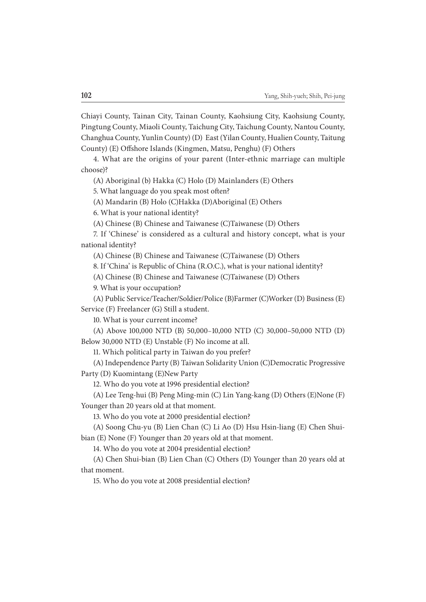Chiayi County, Tainan City, Tainan County, Kaohsiung City, Kaohsiung County, Pingtung County, Miaoli County, Taichung City, Taichung County, Nantou County, Changhua County, Yunlin County) (D) East (Yilan County, Hualien County, Taitung County) (E) Offshore Islands (Kingmen, Matsu, Penghu) (F) Others

4. What are the origins of your parent (Inter-ethnic marriage can multiple choose)?

(A) Aboriginal (b) Hakka (C) Holo (D) Mainlanders (E) Others

5. What language do you speak most often?

(A) Mandarin (B) Holo (C)Hakka (D)Aboriginal (E) Others

6. What is your national identity?

(A) Chinese (B) Chinese and Taiwanese (C)Taiwanese (D) Others

7. If 'Chinese' is considered as a cultural and history concept, what is your national identity?

(A) Chinese (B) Chinese and Taiwanese (C)Taiwanese (D) Others

8. If 'China' is Republic of China (R.O.C.), what is your national identity?

(A) Chinese (B) Chinese and Taiwanese (C)Taiwanese (D) Others

9. What is your occupation?

(A) Public Service/Teacher/Soldier/Police (B)Farmer (C)Worker (D) Business (E) Service (F) Freelancer (G) Still a student.

10. What is your current income?

(A) Above 100,000 NTD (B) 50,000–10,000 NTD (C) 30,000–50,000 NTD (D) Below 30,000 NTD (E) Unstable (F) No income at all.

11. Which political party in Taiwan do you prefer?

(A) Independence Party (B) Taiwan Solidarity Union (C)Democratic Progressive Party (D) Kuomintang (E)New Party

12. Who do you vote at 1996 presidential election?

(A) Lee Teng-hui (B) Peng Ming-min (C) Lin Yang-kang (D) Others (E)None (F) Younger than 20 years old at that moment.

13. Who do you vote at 2000 presidential election?

(A) Soong Chu-yu (B) Lien Chan (C) Li Ao (D) Hsu Hsin-liang (E) Chen Shuibian (E) None (F) Younger than 20 years old at that moment.

14. Who do you vote at 2004 presidential election?

(A) Chen Shui-bian (B) Lien Chan (C) Others (D) Younger than 20 years old at that moment.

15. Who do you vote at 2008 presidential election?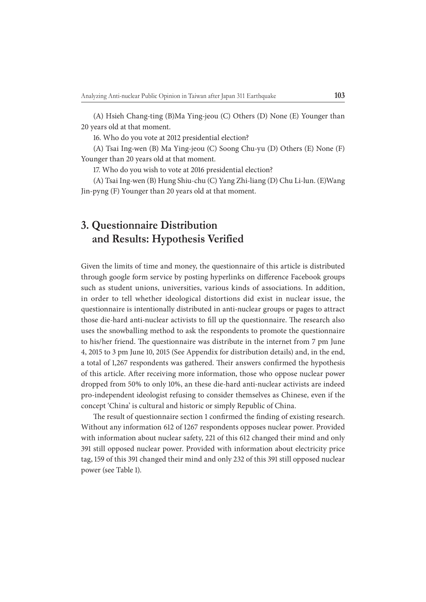(A) Hsieh Chang-ting (B)Ma Ying-jeou (C) Others (D) None (E) Younger than 20 years old at that moment.

16. Who do you vote at 2012 presidential election?

(A) Tsai Ing-wen (B) Ma Ying-jeou (C) Soong Chu-yu (D) Others (E) None (F) Younger than 20 years old at that moment.

17. Who do you wish to vote at 2016 presidential election?

(A) Tsai Ing-wen (B) Hung Shiu-chu (C) Yang Zhi-liang (D) Chu Li-lun. (E)Wang Jin-pyng (F) Younger than 20 years old at that moment.

## **3. Questionnaire Distribution and Results: Hypothesis Verified**

Given the limits of time and money, the questionnaire of this article is distributed through google form service by posting hyperlinks on difference Facebook groups such as student unions, universities, various kinds of associations. In addition, in order to tell whether ideological distortions did exist in nuclear issue, the questionnaire is intentionally distributed in anti-nuclear groups or pages to attract those die-hard anti-nuclear activists to fill up the questionnaire. The research also uses the snowballing method to ask the respondents to promote the questionnaire to his/her friend. The questionnaire was distribute in the internet from 7 pm June 4, 2015 to 3 pm June 10, 2015 (See Appendix for distribution details) and, in the end, a total of 1,267 respondents was gathered. Their answers confirmed the hypothesis of this article. After receiving more information, those who oppose nuclear power dropped from 50% to only 10%, an these die-hard anti-nuclear activists are indeed pro-independent ideologist refusing to consider themselves as Chinese, even if the concept 'China' is cultural and historic or simply Republic of China.

The result of questionnaire section 1 confirmed the finding of existing research. Without any information 612 of 1267 respondents opposes nuclear power. Provided with information about nuclear safety, 221 of this 612 changed their mind and only 391 still opposed nuclear power. Provided with information about electricity price tag, 159 of this 391 changed their mind and only 232 of this 391 still opposed nuclear power (see Table 1).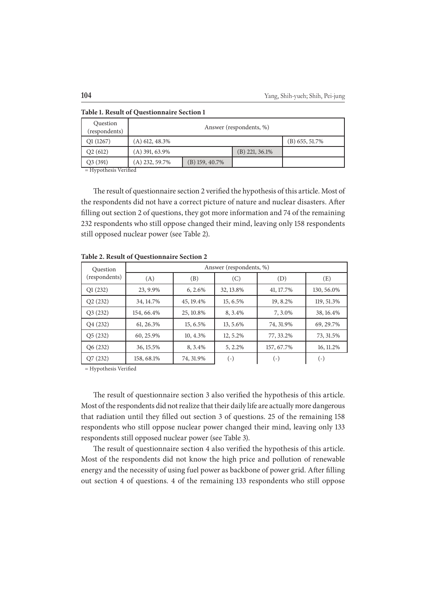| Question<br>(respondents) | Answer (respondents, %) |                  |                  |  |  |  |
|---------------------------|-------------------------|------------------|------------------|--|--|--|
| Q1(1267)                  | $(A)$ 612, 48.3%        |                  |                  |  |  |  |
| Q2(612)                   | $(A)$ 391, 63.9%        |                  | $(B)$ 221, 36.1% |  |  |  |
| Q3(391)                   | (A) 232, 59.7%          | $(B)$ 159, 40.7% |                  |  |  |  |

**Table 1. Result of Questionnaire Section 1**

 $=$  Hypothesis Verified

The result of questionnaire section 2 verified the hypothesis of this article. Most of the respondents did not have a correct picture of nature and nuclear disasters. After filling out section 2 of questions, they got more information and 74 of the remaining 232 respondents who still oppose changed their mind, leaving only 158 respondents still opposed nuclear power (see Table 2).

| Question      | Answer (respondents, %) |           |           |            |            |  |  |  |
|---------------|-------------------------|-----------|-----------|------------|------------|--|--|--|
| (respondents) | (A)                     | (B)       | (C)       | (D)        | (E)        |  |  |  |
| Q1(232)       | 23, 9.9%                | 6, 2.6%   | 32, 13.8% | 41, 17.7%  | 130, 56.0% |  |  |  |
| Q2(232)       | 34, 14.7%               | 45, 19.4% | 15, 6.5%  | 19, 8.2%   | 119, 51.3% |  |  |  |
| Q3(232)       | 154, 66.4%              | 25, 10.8% | 8, 3.4%   | 7, 3.0%    | 38, 16.4%  |  |  |  |
| Q4(232)       | 61, 26.3%               | 15, 6.5%  | 13, 5.6%  | 74, 31.9%  | 69, 29.7%  |  |  |  |
| Q5(232)       | 60, 25.9%               | 10, 4.3%  | 12, 5.2%  | 77, 33.2%  | 73, 31.5%  |  |  |  |
| Q6(232)       | 36, 15.5%               | 8, 3.4%   | 5, 2.2%   | 157, 67.7% | 16, 11.2%  |  |  |  |
| Q7(232)       | 158, 68.1%              | 74, 31.9% | $(-)$     | ( - )      | ( - )      |  |  |  |

**Table 2. Result of Questionnaire Section 2**

= Hypothesis Verified

The result of questionnaire section 3 also verified the hypothesis of this article. Most of the respondents did not realize that their daily life are actually more dangerous that radiation until they filled out section 3 of questions. 25 of the remaining 158 respondents who still oppose nuclear power changed their mind, leaving only 133 respondents still opposed nuclear power (see Table 3).

The result of questionnaire section 4 also verified the hypothesis of this article. Most of the respondents did not know the high price and pollution of renewable energy and the necessity of using fuel power as backbone of power grid. After filling out section 4 of questions. 4 of the remaining 133 respondents who still oppose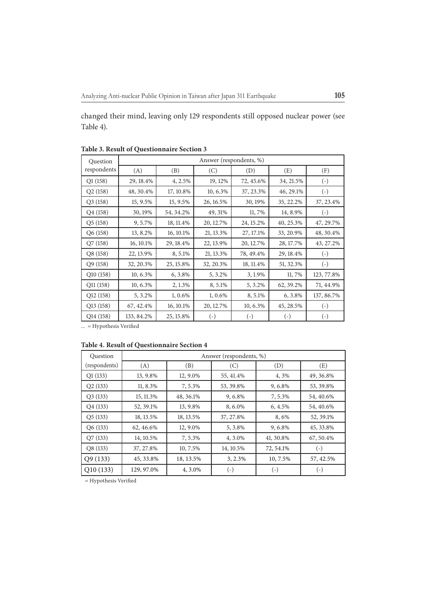changed their mind, leaving only 129 respondents still opposed nuclear power (see Table 4).

| Ouestion    | Answer (respondents, %) |           |              |                   |                        |                    |  |  |
|-------------|-------------------------|-----------|--------------|-------------------|------------------------|--------------------|--|--|
| respondents | (A)                     | (B)       | (C)          | (D)               | (E)                    | (F)                |  |  |
| Q1(158)     | 29, 18.4%               | 4, 2.5%   | 19, 12%      | 72, 45.6%         | 34, 21.5%              | $(\text{-})$       |  |  |
| Q2(158)     | 48, 30.4%               | 17, 10.8% | 10, 6.3%     | 37, 23.3%         | 46, 29.1%              | $(\textnormal{-})$ |  |  |
| Q3(158)     | 15, 9.5%                | 15, 9.5%  | 26, 16.5%    | 30, 19%           | 35, 22.2%              | 37, 23.4%          |  |  |
| Q4(158)     | 30, 19%                 | 54, 34.2% | 49, 31%      | 11,7%             | 14, 8.9%               | $(-)$              |  |  |
| Q5(158)     | 9,5.7%                  | 18, 11.4% | 20, 12.7%    | 24, 15.2%         | 40, 25.3%              | 47, 29.7%          |  |  |
| Q6 (158)    | 13, 8.2%                | 16, 10.1% | 21, 13.3%    | 27, 17.1%         | 33, 20.9%              | 48, 30.4%          |  |  |
| Q7(158)     | 16, 10.1%               | 29, 18.4% | 22, 13.9%    | 20, 12.7%         | 28, 17.7%              | 43, 27.2%          |  |  |
| Q8(158)     | 22, 13.9%               | 8, 5.1%   | 21, 13.3%    | 78, 49.4%         | 29, 18.4%              | $(\text{-})$       |  |  |
| Q9 (158)    | 32, 20.3%               | 25, 15.8% | 32, 20.3%    | 18, 11.4%         | 51, 32.3%              | $\left( -\right)$  |  |  |
| Q10(158)    | 10, 6.3%                | 6, 3.8%   | 5, 3.2%      | 3, 1.9%           | 11,7%                  | 123, 77.8%         |  |  |
| Q11 (158)   | 10, 6.3%                | 2, 1.3%   | 8, 5.1%      | 5, 3.2%           | 62, 39.2%              | 71, 44.9%          |  |  |
| Q12 (158)   | 5, 3.2%                 | 1, 0.6%   | 1, 0.6%      | 8,5.1%            | 6, 3.8%                | 137, 86.7%         |  |  |
| Q13(158)    | 67, 42.4%               | 16, 10.1% | 20, 12.7%    | 10, 6.3%          | 45, 28.5%              | $(-)$              |  |  |
| Q14 (158)   | 133, 84.2%              | 25, 15.8% | $(\text{-})$ | $\left( -\right)$ | $\left( \cdot \right)$ | $(\text{-})$       |  |  |

**Table 3. Result of Questionnaire Section 3**

 $\overline{\ldots}$  = Hypothesis Verified

#### **Table 4. Result of Questionnaire Section 4**

| Question      | Answer (respondents, %) |           |                    |            |                        |  |  |
|---------------|-------------------------|-----------|--------------------|------------|------------------------|--|--|
| (respondents) | (A)                     | (B)       | (C)                | (D)        | (E)                    |  |  |
| Q1(133)       | 13, 9.8%                | 12, 9.0%  | 55, 41.4%          | 4, 3%      | 49, 36.8%              |  |  |
| Q2(133)       | 11, 8.3%                | 7,5.3%    | 53, 39.8%          | 9, 6.8%    | 53, 39.8%              |  |  |
| Q3(133)       | 15, 11.3%               | 48, 36.1% | 9, 6.8%            | 7,5.3%     | 54, 40.6%              |  |  |
| Q4(133)       | 52, 39.1%               | 13, 9.8%  | 8,6.0%             | $6, 4.5\%$ | 54, 40.6%              |  |  |
| Q5(133)       | 18, 13.5%               | 18, 13.5% | 37, 27.8%          | 8,6%       | 52, 39.1%              |  |  |
| Q6(133)       | 62, 46.6%               | 12, 9.0%  | 5, 3.8%            | 9, 6.8%    | 45, 33.8%              |  |  |
| Q7(133)       | 14, 10.5%               | 7,5.3%    | 4, 3.0%            | 41, 30.8%  | 67, 50.4%              |  |  |
| Q8(133)       | 37, 27.8%               | 10, 7.5%  | 14, 10.5%          | 72, 54.1%  | ( - )                  |  |  |
| Q9(133)       | 45, 33.8%               | 18, 13.5% | 3, 2.3%            | 10, 7.5%   | 57, 42.5%              |  |  |
| Q10(133)      | 129, 97.0%              | 4, 3.0%   | $(\textnormal{-})$ | $(-)$      | $\left( \cdot \right)$ |  |  |

 $=$  Hypothesis Verified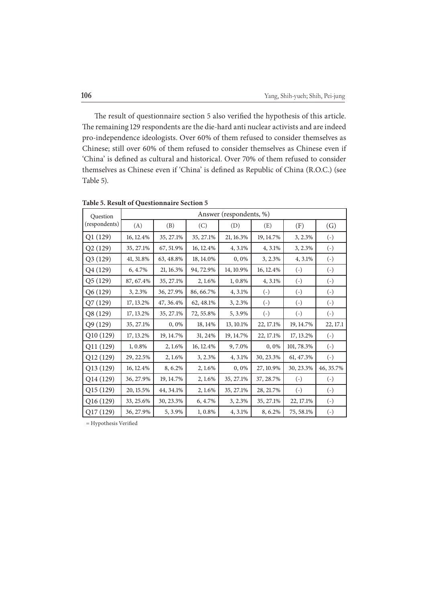The result of questionnaire section 5 also verified the hypothesis of this article. The remaining 129 respondents are the die-hard anti nuclear activists and are indeed pro-independence ideologists. Over 60% of them refused to consider themselves as Chinese; still over 60% of them refused to consider themselves as Chinese even if 'China' is defined as cultural and historical. Over 70% of them refused to consider themselves as Chinese even if 'China' is defined as Republic of China (R.O.C.) (see Table 5).

| Ouestion      | Answer (respondents, %) |           |           |           |                   |                   |                   |  |
|---------------|-------------------------|-----------|-----------|-----------|-------------------|-------------------|-------------------|--|
| (respondents) | (A)                     | (B)       | (C)       | (D)       | (E)               | (F)               | (G)               |  |
| Q1(129)       | 16, 12.4%               | 35, 27.1% | 35, 27.1% | 21, 16.3% | 19, 14.7%         | 3, 2.3%           | $\left( -\right)$ |  |
| Q2(129)       | 35, 27.1%               | 67, 51.9% | 16, 12.4% | 4, 3.1%   | 4, 3.1%           | 3, 2.3%           | $\left( -\right)$ |  |
| Q3 (129)      | 41, 31.8%               | 63, 48.8% | 18, 14.0% | 0,0%      | 3, 2.3%           | 4, 3.1%           | $\left( -\right)$ |  |
| Q4 (129)      | 6, 4.7%                 | 21, 16.3% | 94, 72.9% | 14, 10.9% | 16, 12.4%         | $\left( -\right)$ | $\left( -\right)$ |  |
| Q5 (129)      | 87, 67.4%               | 35, 27.1% | 2, 1.6%   | 1, 0.8%   | 4, 3.1%           | $(\text{-})$      | $(\text{-})$      |  |
| Q6 (129)      | 3, 2.3%                 | 36, 27.9% | 86, 66.7% | 4, 3.1%   | $\left( -\right)$ | $\left( -\right)$ | $\left( -\right)$ |  |
| Q7 (129)      | 17, 13.2%               | 47, 36.4% | 62, 48.1% | 3, 2.3%   | $\left( -\right)$ | $\left( -\right)$ | $\left( -\right)$ |  |
| Q8 (129)      | 17, 13.2%               | 35, 27.1% | 72, 55.8% | 5, 3.9%   | $\left( -\right)$ | $\left( -\right)$ | $(\text{-})$      |  |
| Q9 (129)      | 35, 27.1%               | 0,0%      | 18, 14%   | 13, 10.1% | 22, 17.1%         | 19, 14.7%         | 22, 17.1          |  |
| Q10 (129)     | 17, 13.2%               | 19, 14.7% | 31, 24%   | 19, 14.7% | 22, 17.1%         | 17, 13.2%         | $(\text{-})$      |  |
| Q11 (129)     | 1, 0.8%                 | 2, 1.6%   | 16, 12.4% | 9,7.0%    | 0,0%              | 101, 78.3%        | $(\text{-})$      |  |
| Q12 (129)     | 29, 22.5%               | 2, 1.6%   | 3, 2.3%   | 4, 3.1%   | 30, 23.3%         | 61, 47.3%         | $\left( -\right)$ |  |
| Q13 (129)     | 16, 12.4%               | 8, 6.2%   | 2, 1.6%   | 0,0%      | 27, 10.9%         | 30, 23.3%         | 46, 35.7%         |  |
| Q14 (129)     | 36, 27.9%               | 19, 14.7% | 2, 1.6%   | 35, 27.1% | 37, 28.7%         | $\left( -\right)$ | $\left( -\right)$ |  |
| Q15 (129)     | 20, 15.5%               | 44, 34.1% | 2, 1.6%   | 35, 27.1% | 28, 21.7%         | $\left( -\right)$ | $\left( -\right)$ |  |
| Q16 (129)     | 33, 25.6%               | 30, 23.3% | 6, 4.7%   | 3, 2.3%   | 35, 27.1%         | 22, 17.1%         | $(\text{-})$      |  |
| Q17 (129)     | 36, 27.9%               | 5, 3.9%   | 1, 0.8%   | 4, 3.1%   | 8, 6.2%           | 75, 58.1%         | $\left( -\right)$ |  |

**Table 5. Result of Questionnaire Section 5**

 $=$  Hypothesis Verified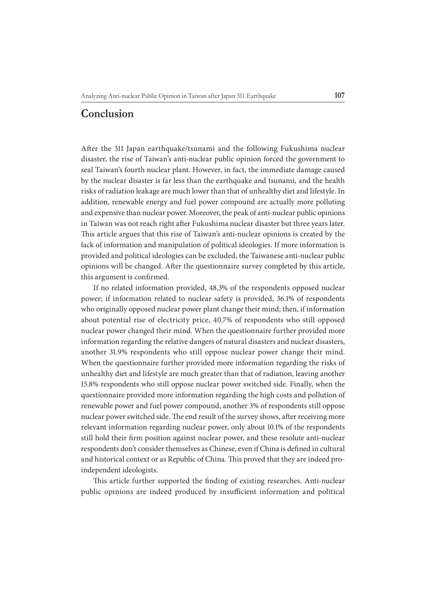## **Conclusion**

After the 311 Japan earthquake/tsunami and the following Fukushima nuclear disaster, the rise of Taiwan's anti-nuclear public opinion forced the government to seal Taiwan's fourth nuclear plant. However, in fact, the immediate damage caused by the nuclear disaster is far less than the earthquake and tsunami, and the health risks of radiation leakage are much lower than that of unhealthy diet and lifestyle. In addition, renewable energy and fuel power compound are actually more polluting and expensive than nuclear power. Moreover, the peak of anti-nuclear public opinions in Taiwan was not reach right after Fukushima nuclear disaster but three years later. This article argues that this rise of Taiwan's anti-nuclear opinions is created by the lack of information and manipulation of political ideologies. If more information is provided and political ideologies can be excluded, the Taiwanese anti-nuclear public opinions will be changed. After the questionnaire survey completed by this article, this argument is confirmed.

If no related information provided, 48.3% of the respondents opposed nuclear power; if information related to nuclear safety is provided, 36.1% of respondents who originally opposed nuclear power plant change their mind; then, if information about potential rise of electricity price, 40.7% of respondents who still opposed nuclear power changed their mind. When the questionnaire further provided more information regarding the relative dangers of natural disasters and nuclear disasters, another 31.9% respondents who still oppose nuclear power change their mind. When the questionnaire further provided more information regarding the risks of unhealthy diet and lifestyle are much greater than that of radiation, leaving another 15.8% respondents who still oppose nuclear power switched side. Finally, when the questionnaire provided more information regarding the high costs and pollution of renewable power and fuel power compound, another 3% of respondents still oppose nuclear power switched side. The end result of the survey shows, after receiving more relevant information regarding nuclear power, only about 10.1% of the respondents still hold their firm position against nuclear power, and these resolute anti-nuclear respondents don't consider themselves as Chinese, even if China is defined in cultural and historical context or as Republic of China. This proved that they are indeed proindependent ideologists.

This article further supported the finding of existing researches. Anti-nuclear public opinions are indeed produced by insufficient information and political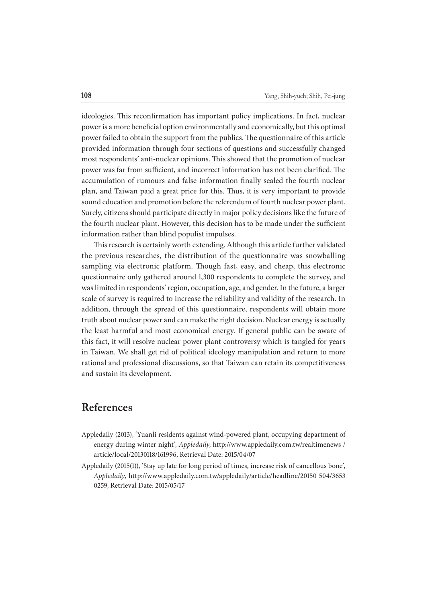ideologies. This reconfirmation has important policy implications. In fact, nuclear power is a more beneficial option environmentally and economically, but this optimal power failed to obtain the support from the publics. The questionnaire of this article provided information through four sections of questions and successfully changed most respondents' anti-nuclear opinions. This showed that the promotion of nuclear power was far from sufficient, and incorrect information has not been clarified. The accumulation of rumours and false information finally sealed the fourth nuclear plan, and Taiwan paid a great price for this. Thus, it is very important to provide sound education and promotion before the referendum of fourth nuclear power plant. Surely, citizens should participate directly in major policy decisions like the future of the fourth nuclear plant. However, this decision has to be made under the sufficient information rather than blind populist impulses.

This research is certainly worth extending. Although this article further validated the previous researches, the distribution of the questionnaire was snowballing sampling via electronic platform. Though fast, easy, and cheap, this electronic questionnaire only gathered around 1,300 respondents to complete the survey, and was limited in respondents' region, occupation, age, and gender. In the future, a larger scale of survey is required to increase the reliability and validity of the research. In addition, through the spread of this questionnaire, respondents will obtain more truth about nuclear power and can make the right decision. Nuclear energy is actually the least harmful and most economical energy. If general public can be aware of this fact, it will resolve nuclear power plant controversy which is tangled for years in Taiwan. We shall get rid of political ideology manipulation and return to more rational and professional discussions, so that Taiwan can retain its competitiveness and sustain its development.

## **References**

- Appledaily (2013), 'Yuanli residents against wind-powered plant, occupying department of energy during winter night', Appledaily, http://www.appledaily.com.tw/realtimenews / article/local/20130118/161996, Retrieval Date: 2015/04/07
- Appledaily (2015(1)), 'Stay up late for long period of times, increase risk of cancellous bone', Appledaily, http://www.appledaily.com.tw/appledaily/article/headline/20150 504/3653 0259, Retrieval Date: 2015/05/17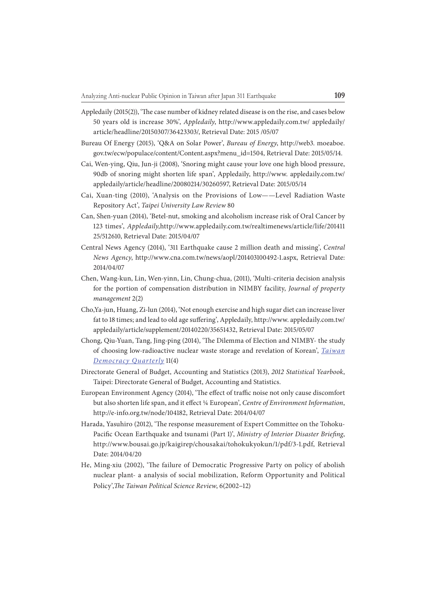- Appledaily (2015(2)), 'The case number of kidney related disease is on the rise, and cases below 50 years old is increase 30%', Appledaily, http://www.appledaily.com.tw/ appledaily/ article/headline/20150307/36423303/, Retrieval Date: 2015 /05/07
- Bureau Of Energy (2015), 'Q&A on Solar Power', Bureau of Energy, http://web3. moeaboe. gov.tw/ecw/populace/content/Content.aspx?menu\_id=1504, Retrieval Date: 2015/05/14.
- Cai, Wen-ying, Qiu, Jun-ji (2008), 'Snoring might cause your love one high blood pressure, 90db of snoring might shorten life span', Appledaily, http://www. appledaily.com.tw/ appledaily/article/headline/20080214/30260597, Retrieval Date: 2015/05/14
- Cai, Xuan-ting (2010), 'Analysis on the Provisions of Low——Level Radiation Waste Repository Act', Taipei University Law Review 80
- Can, Shen-yuan (2014), 'Betel-nut, smoking and alcoholism increase risk of Oral Cancer by 123 times', Appledaily,http://www.appledaily.com.tw/realtimenews/article/life/201411 25/512610, Retrieval Date: 2015/04/07
- Central News Agency (2014), '311 Earthquake cause 2 million death and missing', Central News Agency, http://www.cna.com.tw/news/aopl/201403100492-1.aspx, Retrieval Date: 2014/04/07
- Chen, Wang-kun, Lin, Wen-yinn, Lin, Chung-chua, (2011), 'Multi-criteria decision analysis for the portion of compensation distribution in NIMBY facility, Journal of property management 2(2)
- Cho,Ya-jun, Huang, Zi-lun (2014), 'Not enough exercise and high sugar diet can increase liver fat to 18 times; and lead to old age suffering', Appledaily, http://www. appledaily.com.tw/ appledaily/article/supplement/20140220/35651432, Retrieval Date: 2015/05/07
- Chong, Qiu-Yuan, Tang, Jing-ping (2014), 'The Dilemma of Election and NIMBY- the study of choosing low-radioactive nuclear waste storage and revelation of Korean', Taiwan Democracy Quarterly 11(4)
- Directorate General of Budget, Accounting and Statistics (2013), 2012 Statistical Yearbook, Taipei: Directorate General of Budget, Accounting and Statistics.
- European Environment Agency (2014), 'The effect of traffic noise not only cause discomfort but also shorten life span, and it effect ¼ European', Centre of Environment Information, http://e-info.org.tw/node/104182, Retrieval Date: 2014/04/07
- Harada, Yasuhiro (2012), 'The response measurement of Expert Committee on the Tohoku-Pacific Ocean Earthquake and tsunami (Part 1)', Ministry of Interior Disaster Briefing, http://www.bousai.go.jp/kaigirep/chousakai/tohokukyokun/1/pdf/3-1.pdf, Retrieval Date: 2014/04/20
- He, Ming-xiu (2002), 'The failure of Democratic Progressive Party on policy of abolish nuclear plant- a analysis of social mobilization, Reform Opportunity and Political Policy', The Taiwan Political Science Review, 6(2002–12)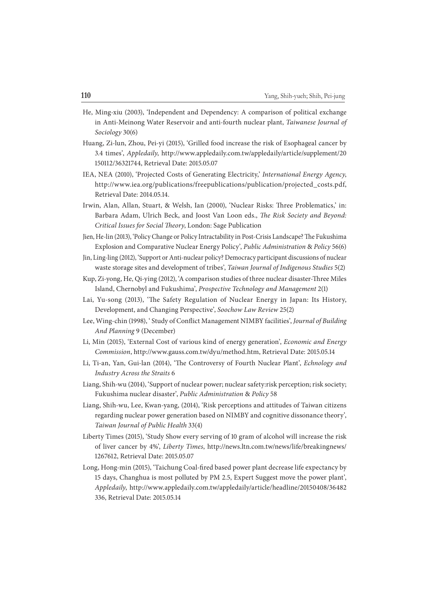- He, Ming-xiu (2003), 'Independent and Dependency: A comparison of political exchange in Anti-Meinong Water Reservoir and anti-fourth nuclear plant, Taiwanese Journal of Sociology 30(6)
- Huang, Zi-lun, Zhou, Pei-yi (2015), 'Grilled food increase the risk of Esophageal cancer by 3.4 times', Appledaily, http://www.appledaily.com.tw/appledaily/article/supplement/20 150112/36321744, Retrieval Date: 2015.05.07
- IEA, NEA (2010), 'Projected Costs of Generating Electricity,' International Energy Agency, http://www.iea.org/publications/freepublications/publication/projected\_costs.pdf, Retrieval Date: 2014.05.14.
- Irwin, Alan, Allan, Stuart, & Welsh, Ian (2000), 'Nuclear Risks: Three Problematics,' in: Barbara Adam, Ulrich Beck, and Joost Van Loon eds., The Risk Society and Beyond: Critical Issues for Social Theory, London: Sage Publication
- Jien, He-lin (2013), 'Policy Change or Policy Intractability in Post-Crisis Landscape? The Fukushima Explosion and Comparative Nuclear Energy Policy', Public Administration & Policy 56(6)
- Jin, Ling-ling (2012), 'Support or Anti-nuclear policy? Democracy participant discussions of nuclear waste storage sites and development of tribes', Taiwan Journal of Indigenous Studies 5(2)
- Kup, Zi-yong, He, Qi-ying (2012), 'A comparison studies of three nuclear disaster-Three Miles Island, Chernobyl and Fukushima', Prospective Technology and Management 2(1)
- Lai, Yu-song (2013), 'The Safety Regulation of Nuclear Energy in Japan: Its History, Development, and Changing Perspective', Soochow Law Review 25(2)
- Lee, Wing-chin (1998), 'Study of Conflict Management NIMBY facilities', Journal of Building And Planning 9 (December)
- Li, Min (2015), 'External Cost of various kind of energy generation', Economic and Energy Commission, http://www.gauss.com.tw/dyu/method.htm, Retrieval Date: 2015.05.14
- Li, Ti-an, Yan, Gui-lan (2014), 'The Controversy of Fourth Nuclear Plant', Echnology and Industry Across the Straits 6
- Liang, Shih-wu (2014), 'Support of nuclear power; nuclear safety:risk perception; risk society; Fukushima nuclear disaster', Public Administration & Policy 58
- Liang, Shih-wu, Lee, Kwan-yang, (2014), 'Risk perceptions and attitudes of Taiwan citizens regarding nuclear power generation based on NIMBY and cognitive dissonance theory', Taiwan Journal of Public Health 33(4)
- Liberty Times (2015), 'Study Show every serving of 10 gram of alcohol will increase the risk of liver cancer by 4%', Liberty Times, http://news.ltn.com.tw/news/life/breakingnews/ 1267612, Retrieval Date: 2015.05.07
- Long, Hong-min (2015), 'Taichung Coal-fired based power plant decrease life expectancy by 15 days, Changhua is most polluted by PM 2.5, Expert Suggest move the power plant', Appledaily, http://www.appledaily.com.tw/appledaily/article/headline/20150408/36482 336, Retrieval Date: 2015.05.14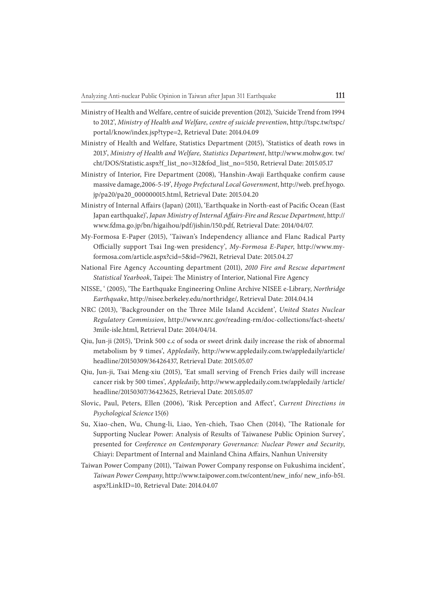- Ministry of Health and Welfare, centre of suicide prevention (2012), 'Suicide Trend from 1994 to 2012', Ministry of Health and Welfare, centre of suicide prevention, http://tspc.tw/tspc/ portal/know/index.jsp?type=2, Retrieval Date: 2014.04.09
- Ministry of Health and Welfare, Statistics Department (2015), 'Statistics of death rows in 2013', Ministry of Health and Welfare, Statistics Department, http://www.mohw.gov. tw/ cht/DOS/Statistic.aspx?f\_list\_no=312&fod\_list\_no=5150, Retrieval Date: 2015.05.17
- Ministry of Interior, Fire Department (2008), 'Hanshin-Awaji Earthquake confirm cause massive damage,2006-5-19', Hyogo Prefectural Local Government, http://web. pref.hyogo. jp/pa20/pa20\_000000015.html, Retrieval Date: 2015.04.20
- Ministry of Internal Affairs (Japan) (2011), 'Earthquake in North-east of Pacific Ocean (East Japan earthquake)', Japan Ministry of Internal Affairs-Fire and Rescue Department, http:// www.fdma.go.jp/bn/higaihou/pdf/jishin/150.pdf, Retrieval Date: 2014/04/07.
- My-Formosa E-Paper (2015), 'Taiwan's Independency alliance and Flanc Radical Party Officially support Tsai Ing-wen presidency', My-Formosa E-Paper, http://www.myformosa.com/article.aspx?cid=5&id=79621, Retrieval Date: 2015.04.27
- National Fire Agency Accounting department (2011), 2010 Fire and Rescue department Statistical Yearbook, Taipei: The Ministry of Interior, National Fire Agency
- NISSE, ' (2005), '1 e Earthquake Engineering Online Archive NISEE e-Library, Northridge Earthquake, http://nisee.berkeley.edu/northridge/, Retrieval Date: 2014.04.14
- NRC (2013), 'Backgrounder on the Three Mile Island Accident', United States Nuclear Regulatory Commission, http://www.nrc.gov/reading-rm/doc-collections/fact-sheets/ 3mile-isle.html, Retrieval Date: 2014/04/14.
- Qiu, Jun-ji (2015), 'Drink 500 c.c of soda or sweet drink daily increase the risk of abnormal metabolism by 9 times', Appledaily, http://www.appledaily.com.tw/appledaily/article/ headline/20150309/36426437, Retrieval Date: 2015.05.07
- Qiu, Jun-ji, Tsai Meng-xiu (2015), 'Eat small serving of French Fries daily will increase cancer risk by 500 times', Appledaily, http://www.appledaily.com.tw/appledaily /article/ headline/20150307/36423625, Retrieval Date: 2015.05.07
- Slovic, Paul, Peters, Ellen (2006), 'Risk Perception and Affect', Current Directions in Psychological Science 15(6)
- Su, Xiao-chen, Wu, Chung-li, Liao, Yen-chieh, Tsao Chen (2014), 'The Rationale for Supporting Nuclear Power: Analysis of Results of Taiwanese Public Opinion Survey', presented for Conference on Contemporary Governance: Nuclear Power and Security, Chiayi: Department of Internal and Mainland China Affairs, Nanhun University
- Taiwan Power Company (2011), 'Taiwan Power Company response on Fukushima incident', Taiwan Power Company, http://www.taipower.com.tw/content/new\_info/ new\_info-b51. aspx?LinkID=10, Retrieval Date: 2014.04.07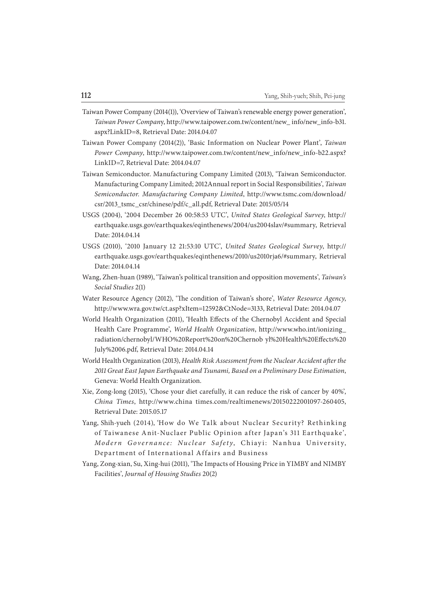- Taiwan Power Company (2014(1)), 'Overview of Taiwan's renewable energy power generation', Taiwan Power Company, http://www.taipower.com.tw/content/new\_ info/new\_info-b31. aspx?LinkID=8, Retrieval Date: 2014.04.07
- Taiwan Power Company (2014(2)), 'Basic Information on Nuclear Power Plant', Taiwan Power Company, http://www.taipower.com.tw/content/new\_info/new\_info-b22.aspx? LinkID=7, Retrieval Date: 2014.04.07
- Taiwan Semiconductor. Manufacturing Company Limited (2013), 'Taiwan Semiconductor. Manufacturing Company Limited; 2012Annual report in Social Responsibilities', Taiwan Semiconductor. Manufacturing Company Limited, http://www.tsmc.com/download/ csr/2013\_tsmc\_csr/chinese/pdf/c\_all.pdf, Retrieval Date: 2015/05/14
- USGS (2004), '2004 December 26 00:58:53 UTC', United States Geological Survey, http:// earthquake.usgs.gov/earthquakes/eqinthenews/2004/us2004slav/#summary, Retrieval Date: 2014.04.14
- USGS (2010), '2010 January 12 21:53:10 UTC', United States Geological Survey, http:// earthquake.usgs.gov/earthquakes/eqinthenews/2010/us2010rja6/#summary, Retrieval Date: 2014.04.14
- Wang, Zhen-huan (1989), 'Taiwan's political transition and opposition movements', Taiwan's Social Studies 2(1)
- Water Resource Agency (2012), 'The condition of Taiwan's shore', Water Resource Agency, http://www.wra.gov.tw/ct.asp?xItem=12592&CtNode=3133, Retrieval Date: 2014.04.07
- World Health Organization (2011), 'Health Effects of the Chernobyl Accident and Special Health Care Programme', World Health Organization, http://www.who.int/ionizing\_ radiation/chernobyl/WHO%20Report%20on%20Chernob yl%20Health%20Effects%20 July%2006.pdf, Retrieval Date: 2014.04.14
- World Health Organization (2013), Health Risk Assessment from the Nuclear Accident after the 2011 Great East Japan Earthquake and Tsunami, Based on a Preliminary Dose Estimation, Geneva: World Health Organization.
- Xie, Zong-long (2015), 'Chose your diet carefully, it can reduce the risk of cancer by 40%', China Times, http://www.china times.com/realtimenews/20150222001097-260405, Retrieval Date: 2015.05.17
- Yang, Shih-yueh (2014), 'How do We Talk about Nuclear Security? Rethinking of Taiwanese Anit-Nuclaer Public Opinion after Japan's 311 Earthquake', Modern Governance: Nuclear Safety, Chiayi: Nanhua University, Department of International Affairs and Business
- Yang, Zong-xian, Su, Xing-hui (2011), 'The Impacts of Housing Price in YIMBY and NIMBY Facilities', Journal of Housing Studies 20(2)